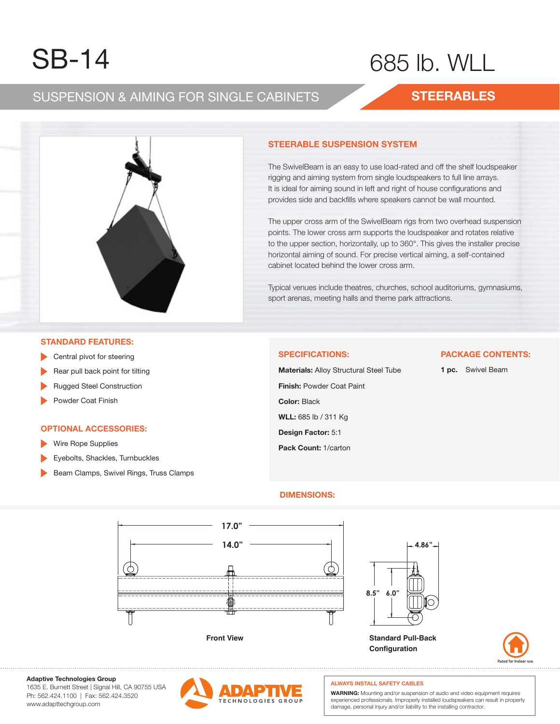# $SB_11$ SB-14 SB-14

# $5 \text{ lb}$ . WILL 685 lb. WLL

## SUSPENSION & AIMING FOR SINGLE CABINETS SUSPENSION & AIMING FOR SINGLE CABINETS SUSPENSION & AIMING FOR SINGLE CABINETS

## **STEERABLES STEERABLES STEERABLES**



#### The Swim is an easy to use lower to use the shelf loudspeaker lower to use the shelf loudspeaker is a shelf lo **STEERABLE SUSPENSION SYSTEM STEERABLE SUSPENSION SYSTEM**

The SwivelBeam is an easy to use load-rated and off the shelf loudspeaker rigging and aiming system from single loudspeakers to full line arrays. It is ideal for aiming sound in left and right of house configurations and provides side and backfills where speakers cannot be wall mounted. provides side and backfills where speakers cannot be wall mounted.

sion points. The lower cross arm supports the loudspeaker and rotates The upper cross arm of the SwivelBeam rigs from two overhead suspen-points. The lower cross arm supports the loudspeaker and rotates relative .<br>to the upper section, horizontally, up to 360°. This gives the installer precise horizontal aiming of sound. For precise vertical aiming, a self-contained cabinet located behind the lower cross arm. The upper cross arm of the SwivelBeam rigs from two overhead suspension

Typical venues include theatres, churches, school auditoriums, gymnasiums, sport arenas, meeting halls and theme park attractions. .<br>Typical venues include theatres, churches, school auditoriums, gymnasiums, lower cross arm. sport arenas, meeting halls and theme park attractions.

#### **STANDARD FEATURES:**

- **STAND** Central pivot for steering
- **Rear pull back point for tilting**
- $\mathbb{R}^n$  pull back point for tilting for tilting for tilting  $\mathbb{R}^n$ ▶ Rugged Steel Construction
- ▶ Powder Coat Finish ► Rugged Steel Construction

### **OPTIONAL ACCESSORIES OPTIONAL ACCESSORIES:**

- ► Wire Rope Supplies Wire Rope Supplies **P Contract Access**
- ► Eyebolts, Shackles, Turnbuckles Eyebolts, Shackles, Turnbuckles  $\mathcal{L} = \mathcal{L} \times \mathcal{L}$
- ► Beam Clamps, Swivel Rings, Truss Clamps Beam Clamps, Swivel Rings, Truss Clamps

#### **SPECIFICATIONS:**

**Finish:** Powder Coat Paint **WLL:** 685 lb / 311 Kg **Design Factor:** 5:1 **Pack Count:** 1/carton **Material:** Alloy Structural Steel Tube **Color:** Black **Materials:** Alloy Structural Steel Tube

## **1 pc.** Swivel Beam

**PACKAGE CONTENTS:**

### **DIMENSIONS: DIMENSIONS:**





**Adaptive Technologies Group Adaptive Technologies Group**

1635 E. Burnett Street | Signal Hill, CA 90755 USA 1635 E. Burnett Street | Signal Hill, CA 90755 USA Ph: 562.424.1100 | Fax: 562.424.3520 Ph: 562.424.1100 | Fax: 562.424.3520 ww.adapttechgroup.com www.adapttechgroup.com



### **ALWAYS INSTALL SAFETY CABLES ALWAYS INSTALL SAFETY CABLES**

**Configuration**

WARNING: Mounting and/or suspension of audio and video equipment requires experienced professionals. Improperly installed loudspeakers can result in property damage, personal injury and/or liability to the installing contractor.<br>.